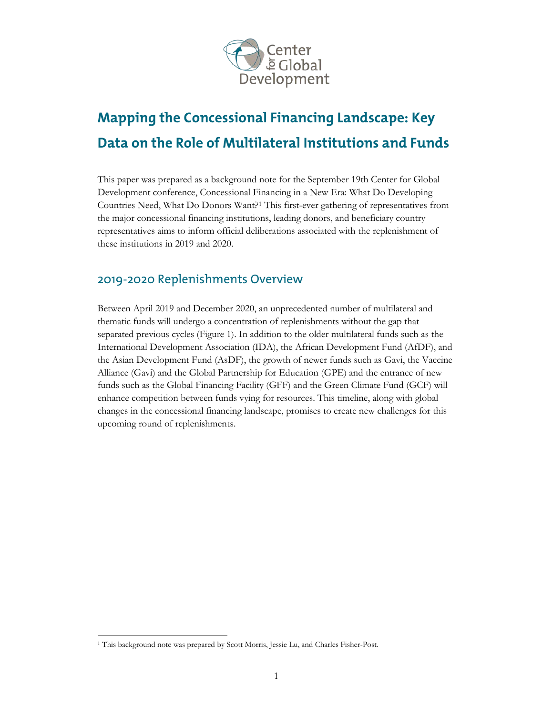

# **Mapping the Concessional Financing Landscape: Key Data on the Role of Multilateral Institutions and Funds**

This paper was prepared as a background note for the September 19th Center for Global Development conference, Concessional Financing in a New Era: What Do Developing Countries Need, What Do Donors Want?[1](#page-0-0) This first-ever gathering of representatives from the major concessional financing institutions, leading donors, and beneficiary country representatives aims to inform official deliberations associated with the replenishment of these institutions in 2019 and 2020.

## 2019-2020 Replenishments Overview

Between April 2019 and December 2020, an unprecedented number of multilateral and thematic funds will undergo a concentration of replenishments without the gap that separated previous cycles (Figure 1). In addition to the older multilateral funds such as the International Development Association (IDA), the African Development Fund (AfDF), and the Asian Development Fund (AsDF), the growth of newer funds such as Gavi, the Vaccine Alliance (Gavi) and the Global Partnership for Education (GPE) and the entrance of new funds such as the Global Financing Facility (GFF) and the Green Climate Fund (GCF) will enhance competition between funds vying for resources. This timeline, along with global changes in the concessional financing landscape, promises to create new challenges for this upcoming round of replenishments.

<span id="page-0-0"></span><sup>&</sup>lt;sup>1</sup> This background note was prepared by Scott Morris, Jessie Lu, and Charles Fisher-Post.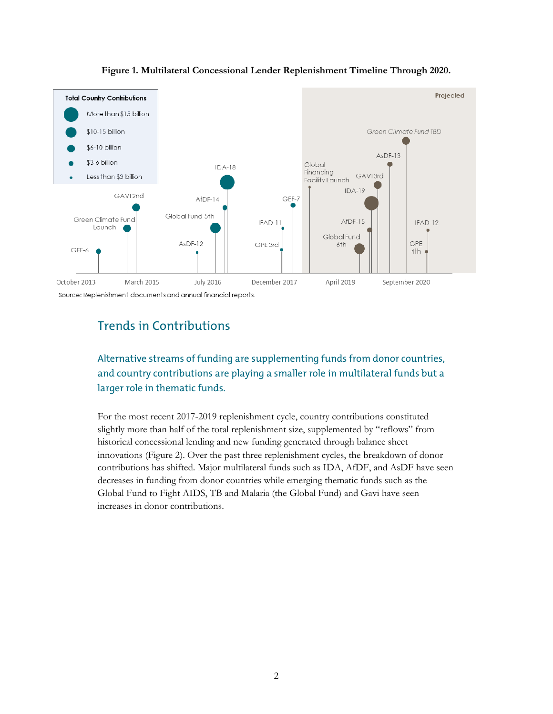



### Trends in Contributions

### Alternative streams of funding are supplementing funds from donor countries, and country contributions are playing a smaller role in multilateral funds but a larger role in thematic funds.

For the most recent 2017-2019 replenishment cycle, country contributions constituted slightly more than half of the total replenishment size, supplemented by "reflows" from historical concessional lending and new funding generated through balance sheet innovations (Figure 2). Over the past three replenishment cycles, the breakdown of donor contributions has shifted. Major multilateral funds such as IDA, AfDF, and AsDF have seen decreases in funding from donor countries while emerging thematic funds such as the Global Fund to Fight AIDS, TB and Malaria (the Global Fund) and Gavi have seen increases in donor contributions.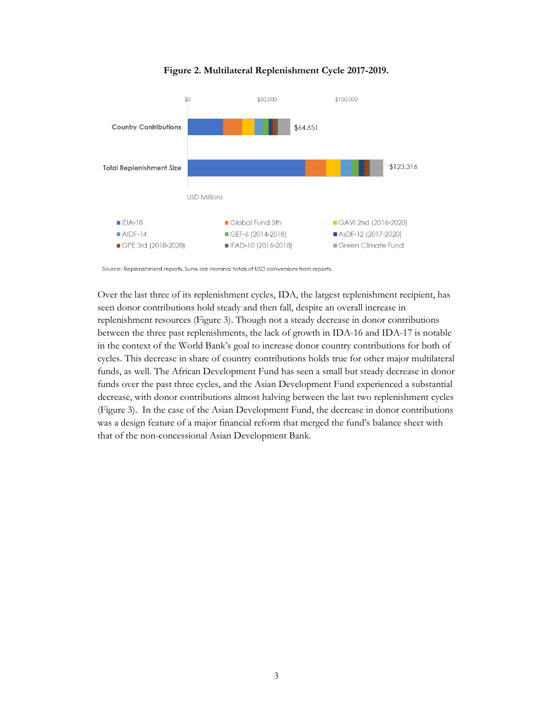#### **Figure 2. Multilateral Replenishment Cycle 2017-2019.**



Source: Replenishment reports. Sums are nominal totals of USD conversions from reports.

Over the last three of its replenishment cycles, IDA, the largest replenishment recipient, has seen donor contributions hold steady and then fall, despite an overall increase in replenishment resources (Figure 3). Though not a steady decrease in donor contributions between the three past replenishments, the lack of growth in IDA-16 and IDA-17 is notable in the context of the World Bank's goal to increase donor country contributions for both of cycles. This decrease in share of country contributions holds true for other major multilateral funds, as well. The African Development Fund has seen a small but steady decrease in donor funds over the past three cycles, and the Asian Development Fund experienced a substantial decrease, with donor contributions almost halving between the last two replenishment cycles (Figure 3). In the case of the Asian Development Fund, the decrease in donor contributions was a design feature of a major financial reform that merged the fund's balance sheet with that of the non-concessional Asian Development Bank.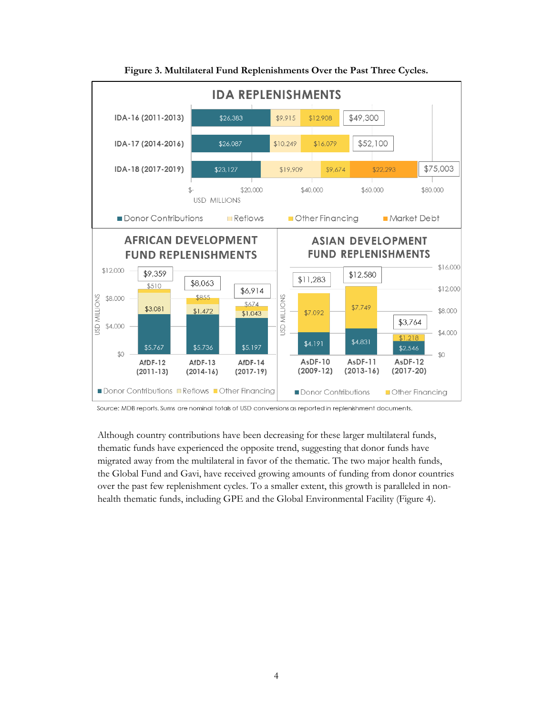

**Figure 3. Multilateral Fund Replenishments Over the Past Three Cycles.**

Although country contributions have been decreasing for these larger multilateral funds, thematic funds have experienced the opposite trend, suggesting that donor funds have migrated away from the multilateral in favor of the thematic. The two major health funds, the Global Fund and Gavi, have received growing amounts of funding from donor countries over the past few replenishment cycles. To a smaller extent, this growth is paralleled in nonhealth thematic funds, including GPE and the Global Environmental Facility (Figure 4).

Source: MDB reports. Sums are nominal totals of USD conversions as reported in replenishment documents.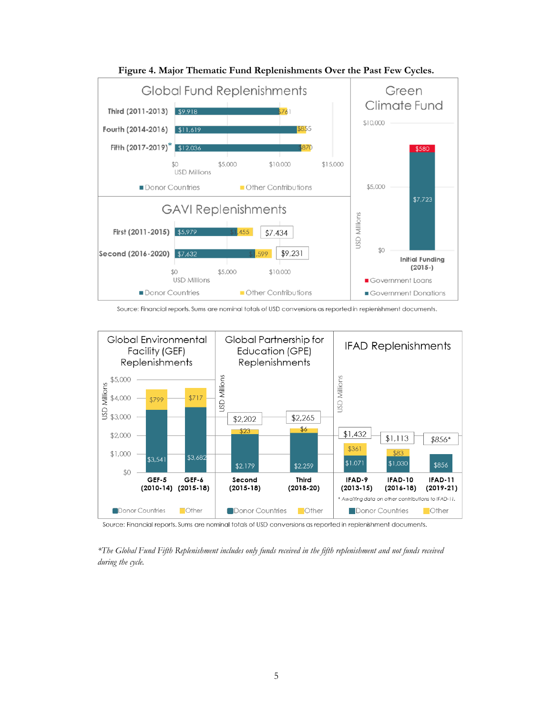



Source: Financial reports. Sums are nominal totals of USD conversions as reported in replenishment documents.



Source: Financial reports. Sums are nominal totals of USD conversions as reported in replenishment documents.

*\*The Global Fund Fifth Replenishment includes only funds received in the fifth replenishment and not funds received during the cycle.*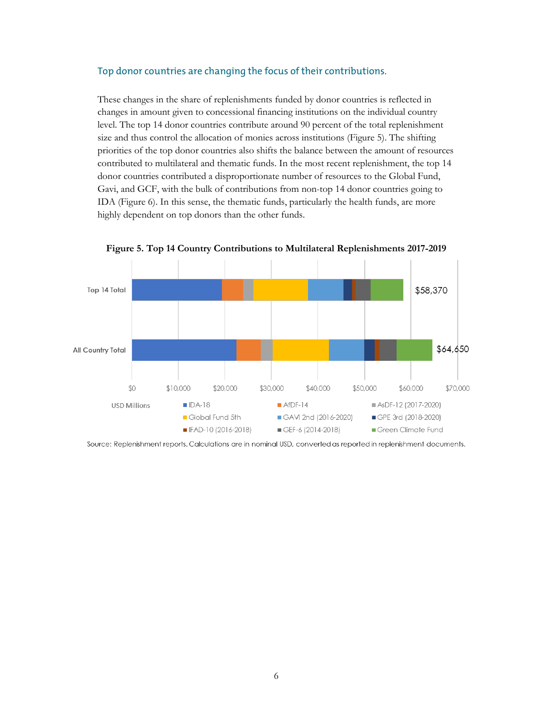#### Top donor countries are changing the focus of their contributions.

These changes in the share of replenishments funded by donor countries is reflected in changes in amount given to concessional financing institutions on the individual country level. The top 14 donor countries contribute around 90 percent of the total replenishment size and thus control the allocation of monies across institutions (Figure 5). The shifting priorities of the top donor countries also shifts the balance between the amount of resources contributed to multilateral and thematic funds. In the most recent replenishment, the top 14 donor countries contributed a disproportionate number of resources to the Global Fund, Gavi, and GCF, with the bulk of contributions from non-top 14 donor countries going to IDA (Figure 6). In this sense, the thematic funds, particularly the health funds, are more highly dependent on top donors than the other funds.



**Figure 5. Top 14 Country Contributions to Multilateral Replenishments 2017-2019**

Source: Replenishment reports. Calculations are in nominal USD, converted as reported in replenishment documents.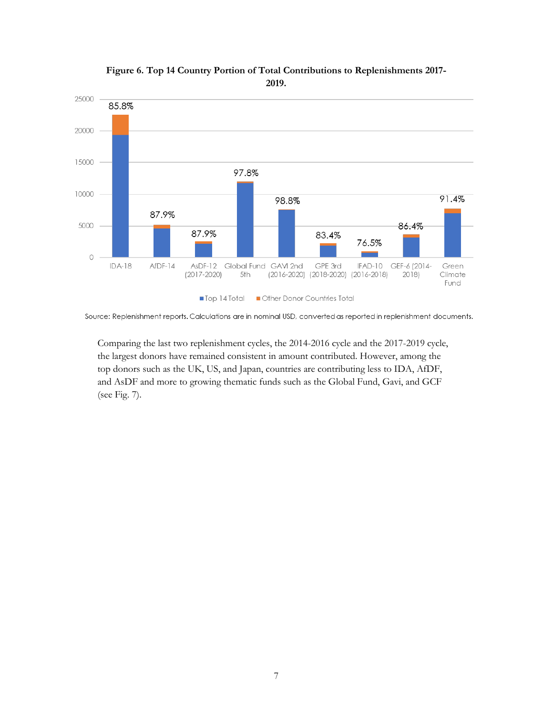

**Figure 6. Top 14 Country Portion of Total Contributions to Replenishments 2017- 2019.**

Source: Replenishment reports. Calculations are in nominal USD, converted as reported in replenishment documents.

Comparing the last two replenishment cycles, the 2014-2016 cycle and the 2017-2019 cycle, the largest donors have remained consistent in amount contributed. However, among the top donors such as the UK, US, and Japan, countries are contributing less to IDA, AfDF, and AsDF and more to growing thematic funds such as the Global Fund, Gavi, and GCF (see Fig. 7).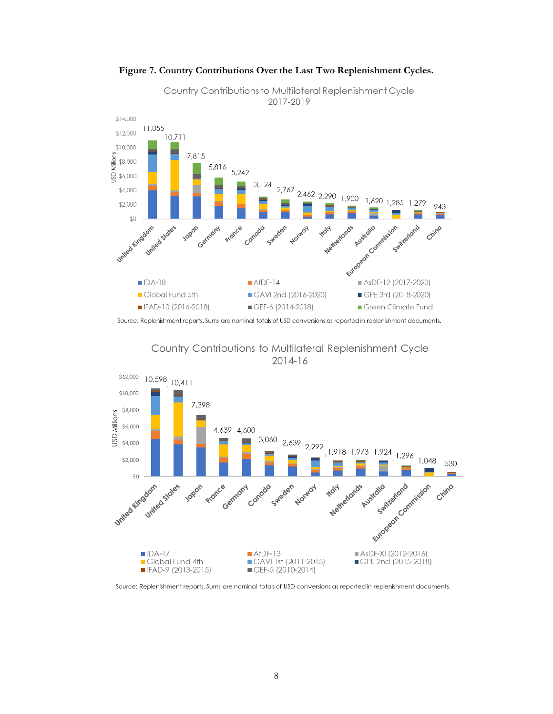

**Figure 7. Country Contributions Over the Last Two Replenishment Cycles.**

Source: Replenishment reports. Sums are nominal totals of USD conversions as reported in replenishment documents.





Source: Replenishment reports. Sums are nominal totals of USD conversions as reported in replenishment documents.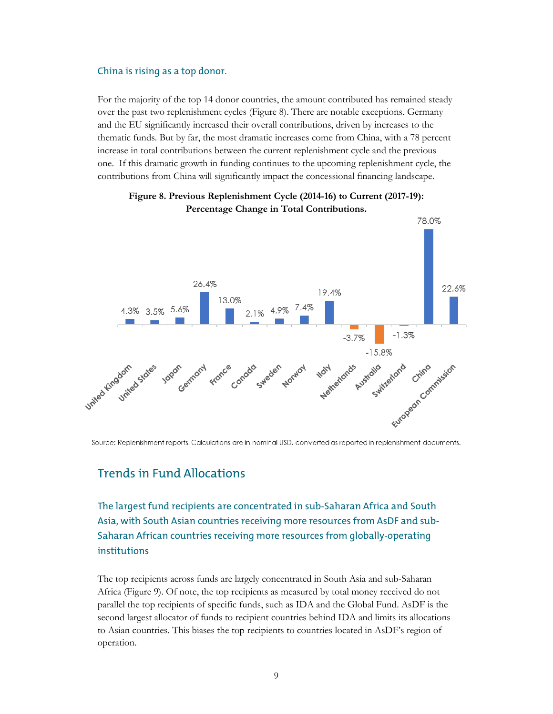#### China is rising as a top donor.

For the majority of the top 14 donor countries, the amount contributed has remained steady over the past two replenishment cycles (Figure 8). There are notable exceptions. Germany and the EU significantly increased their overall contributions, driven by increases to the thematic funds. But by far, the most dramatic increases come from China, with a 78 percent increase in total contributions between the current replenishment cycle and the previous one. If this dramatic growth in funding continues to the upcoming replenishment cycle, the contributions from China will significantly impact the concessional financing landscape.



**Figure 8. Previous Replenishment Cycle (2014-16) to Current (2017-19): Percentage Change in Total Contributions.**

Source: Replenishment reports. Calculations are in nominal USD, converted as reported in replenishment documents.

#### Trends in Fund Allocations

The largest fund recipients are concentrated in sub-Saharan Africa and South Asia, with South Asian countries receiving more resources from AsDF and sub-Saharan African countries receiving more resources from globally-operating institutions

The top recipients across funds are largely concentrated in South Asia and sub-Saharan Africa (Figure 9). Of note, the top recipients as measured by total money received do not parallel the top recipients of specific funds, such as IDA and the Global Fund. AsDF is the second largest allocator of funds to recipient countries behind IDA and limits its allocations to Asian countries. This biases the top recipients to countries located in AsDF's region of operation.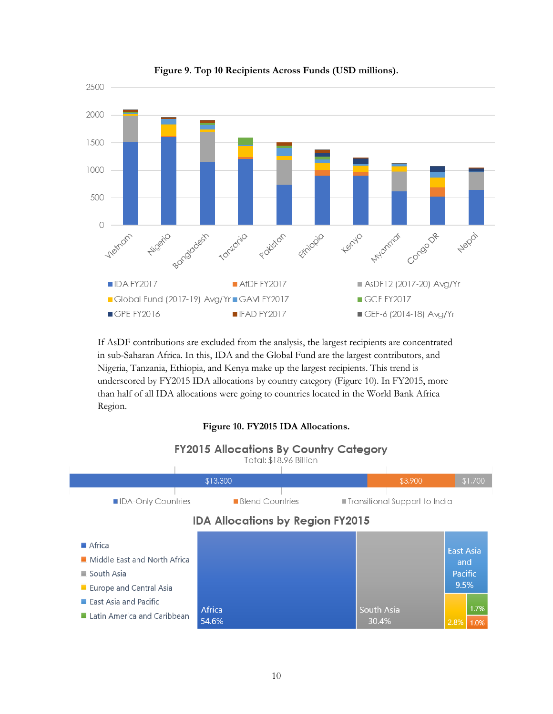

**Figure 9. Top 10 Recipients Across Funds (USD millions).**

If AsDF contributions are excluded from the analysis, the largest recipients are concentrated in sub-Saharan Africa. In this, IDA and the Global Fund are the largest contributors, and Nigeria, Tanzania, Ethiopia, and Kenya make up the largest recipients. This trend is underscored by FY2015 IDA allocations by country category (Figure 10). In FY2015, more than half of all IDA allocations were going to countries located in the World Bank Africa Region.

#### **Figure 10. FY2015 IDA Allocations.**

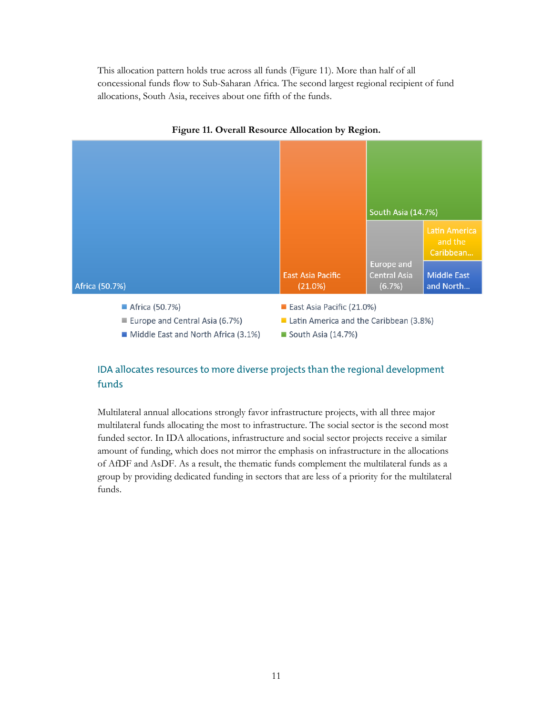This allocation pattern holds true across all funds (Figure 11). More than half of all concessional funds flow to Sub-Saharan Africa. The second largest regional recipient of fund allocations, South Asia, receives about one fifth of the funds.





#### IDA allocates resources to more diverse projects than the regional development funds

Multilateral annual allocations strongly favor infrastructure projects, with all three major multilateral funds allocating the most to infrastructure. The social sector is the second most funded sector. In IDA allocations, infrastructure and social sector projects receive a similar amount of funding, which does not mirror the emphasis on infrastructure in the allocations of AfDF and AsDF. As a result, the thematic funds complement the multilateral funds as a group by providing dedicated funding in sectors that are less of a priority for the multilateral funds.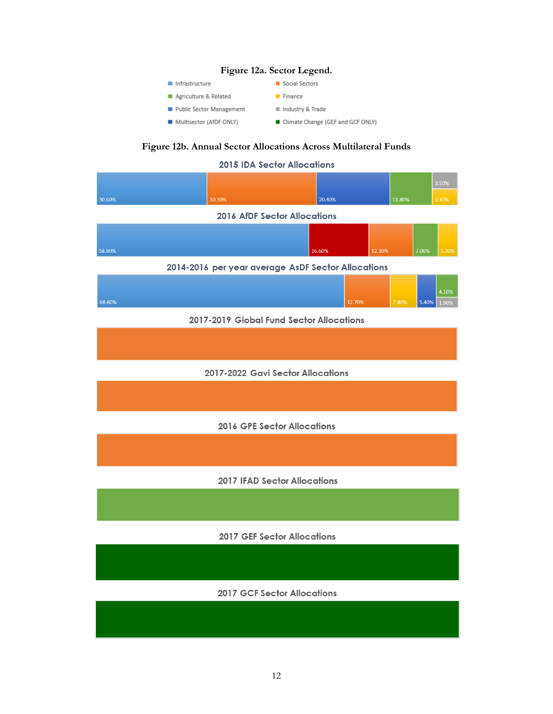#### **Figure 12a. Sector Legend.**

Social Sectors

 $\blacksquare$  Finance

- $\blacksquare$  Infrastructure
- Agriculture & Related
- Public Sector Management
- Multisector (AfDF ONLY)
- $\equiv$  Industry & Trade
- Climate Change (GEF and GCF ONLY)

### **Figure 12b. Annual Sector Allocations Across Multilateral Funds**

|        | <b>2015 IDA Sector Allocations</b>                 |        |        |        |        |       |                |
|--------|----------------------------------------------------|--------|--------|--------|--------|-------|----------------|
|        |                                                    |        |        |        |        |       | 3.50%          |
| 30.60% | 30.30%                                             | 20.40% |        |        | 11.80% |       | 3.40%          |
|        | 2016 AfDF Sector Allocations                       |        |        |        |        |       |                |
|        |                                                    |        |        |        |        |       |                |
| 58.90% |                                                    | 16.60% |        | 12.30% |        | 7.00% | 5.30%          |
|        | 2014-2016 per year average AsDF Sector Allocations |        |        |        |        |       |                |
|        |                                                    |        |        |        |        |       |                |
| 68.60% |                                                    |        | 12.70% |        | 7.40%  | 5.40% | 4.10%<br>1.90% |
|        | 2017-2019 Global Fund Sector Allocations           |        |        |        |        |       |                |
|        |                                                    |        |        |        |        |       |                |
|        |                                                    |        |        |        |        |       |                |
|        | 2017-2022 Gavi Sector Allocations                  |        |        |        |        |       |                |
|        |                                                    |        |        |        |        |       |                |
|        |                                                    |        |        |        |        |       |                |
|        | 2016 GPE Sector Allocations                        |        |        |        |        |       |                |
|        |                                                    |        |        |        |        |       |                |
|        |                                                    |        |        |        |        |       |                |
|        | <b>2017 IFAD Sector Allocations</b>                |        |        |        |        |       |                |
|        |                                                    |        |        |        |        |       |                |
|        |                                                    |        |        |        |        |       |                |
|        | <b>2017 GEF Sector Allocations</b>                 |        |        |        |        |       |                |
|        |                                                    |        |        |        |        |       |                |
|        |                                                    |        |        |        |        |       |                |
|        | <b>2017 GCF Sector Allocations</b>                 |        |        |        |        |       |                |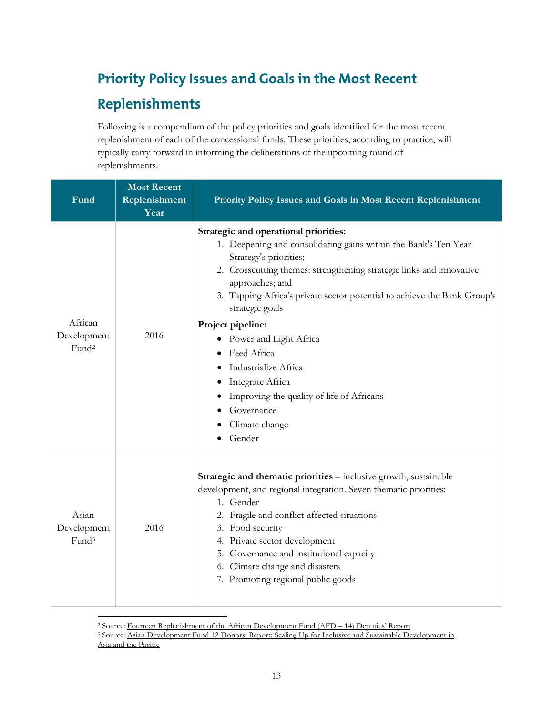# **Priority Policy Issues and Goals in the Most Recent**

## **Replenishments**

Following is a compendium of the policy priorities and goals identified for the most recent replenishment of each of the concessional funds. These priorities, according to practice, will typically carry forward in informing the deliberations of the upcoming round of replenishments.

| Fund                                        | <b>Most Recent</b><br>Replenishment<br>Year | Priority Policy Issues and Goals in Most Recent Replenishment                                                                                                                                                                                                                                                                                                                                                                                                                                                                      |
|---------------------------------------------|---------------------------------------------|------------------------------------------------------------------------------------------------------------------------------------------------------------------------------------------------------------------------------------------------------------------------------------------------------------------------------------------------------------------------------------------------------------------------------------------------------------------------------------------------------------------------------------|
| African<br>Development<br>Fund <sup>2</sup> | 2016                                        | Strategic and operational priorities:<br>1. Deepening and consolidating gains within the Bank's Ten Year<br>Strategy's priorities;<br>2. Crosscutting themes: strengthening strategic links and innovative<br>approaches; and<br>3. Tapping Africa's private sector potential to achieve the Bank Group's<br>strategic goals<br>Project pipeline:<br>Power and Light Africa<br>٠<br>Feed Africa<br>Industrialize Africa<br>Integrate Africa<br>Improving the quality of life of Africans<br>Governance<br>Climate change<br>Gender |
| Asian<br>Development<br>Fund <sup>3</sup>   | 2016                                        | Strategic and thematic priorities - inclusive growth, sustainable<br>development, and regional integration. Seven thematic priorities:<br>1. Gender<br>2. Fragile and conflict-affected situations<br>3. Food security<br>4. Private sector development<br>5. Governance and institutional capacity<br>6. Climate change and disasters<br>7. Promoting regional public goods                                                                                                                                                       |

<span id="page-12-0"></span> <sup>2</sup> Source: [Fourteen Replenishment of the African Development](https://frmb.afdb.org/documents/78/ENG001%20-%20ADF14%203rd%20Meeting%20-%20Deputies) Fund (AFD – 14) Deputies' Report

<span id="page-12-1"></span><sup>&</sup>lt;sup>3</sup> Source: Asian Development Fund 12 Donors' Report: Scaling Up for Inclusive and Sustainable Development in [Asia and the Pacific](https://www.adb.org/sites/default/files/institutional-document/184982/adf-12-donors-report.pdf)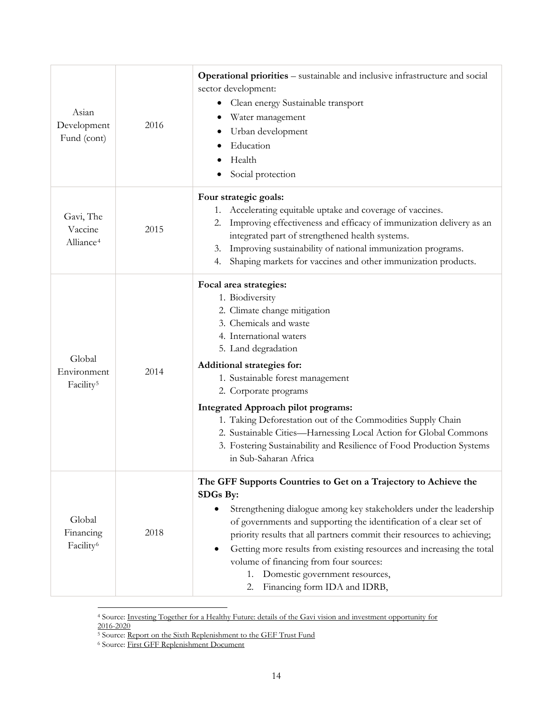| Asian<br>Development<br>Fund (cont)            | 2016 | <b>Operational priorities</b> – sustainable and inclusive infrastructure and social<br>sector development:<br>Clean energy Sustainable transport<br>Water management<br>Urban development<br>Education<br>Health<br>Social protection                                                                                                                                                                                                                                                                                        |
|------------------------------------------------|------|------------------------------------------------------------------------------------------------------------------------------------------------------------------------------------------------------------------------------------------------------------------------------------------------------------------------------------------------------------------------------------------------------------------------------------------------------------------------------------------------------------------------------|
| Gavi, The<br>Vaccine<br>Alliance <sup>4</sup>  | 2015 | Four strategic goals:<br>Accelerating equitable uptake and coverage of vaccines.<br>1.<br>Improving effectiveness and efficacy of immunization delivery as an<br>2.<br>integrated part of strengthened health systems.<br>Improving sustainability of national immunization programs.<br>3.<br>Shaping markets for vaccines and other immunization products.<br>4.                                                                                                                                                           |
| Global<br>Environment<br>Facility <sup>5</sup> | 2014 | Focal area strategies:<br>1. Biodiversity<br>2. Climate change mitigation<br>3. Chemicals and waste<br>4. International waters<br>5. Land degradation<br>Additional strategies for:<br>1. Sustainable forest management<br>2. Corporate programs<br>Integrated Approach pilot programs:<br>1. Taking Deforestation out of the Commodities Supply Chain<br>2. Sustainable Cities-Harnessing Local Action for Global Commons<br>3. Fostering Sustainability and Resilience of Food Production Systems<br>in Sub-Saharan Africa |
| Global<br>Financing<br>Facility <sup>6</sup>   | 2018 | The GFF Supports Countries to Get on a Trajectory to Achieve the<br>SDGs By:<br>Strengthening dialogue among key stakeholders under the leadership<br>of governments and supporting the identification of a clear set of<br>priority results that all partners commit their resources to achieving;<br>Getting more results from existing resources and increasing the total<br>٠<br>volume of financing from four sources:<br>Domestic government resources,<br>1.<br>Financing form IDA and IDRB,<br>2.                    |

<span id="page-13-0"></span> <sup>4</sup> Source: [Investing Together for a Healthy Future: details of the Gavi vision and investment opportunity for](https://www.gavi.org/replenishment-launch/investment-opportunity/)  [2016-2020](https://www.gavi.org/replenishment-launch/investment-opportunity/)

<sup>&</sup>lt;sup>5</sup> Source: [Report on the Sixth Replenishment to the GEF Trust Fund](https://www.thegef.org/sites/default/files/council-meeting-documents/GEF.A.5.07.Rev_.01_Report_on_the_Sixth_Replenishment_of_the_GEF_Trust_Fund_May_22_2014_1.pdf)

<span id="page-13-2"></span><span id="page-13-1"></span><sup>&</sup>lt;sup>6</sup> Source: [First GFF Replenishment Document](https://www.globalfinancingfacility.org/sites/gff_new/files/First-GFF-Replenishment-Document_EN.PDF)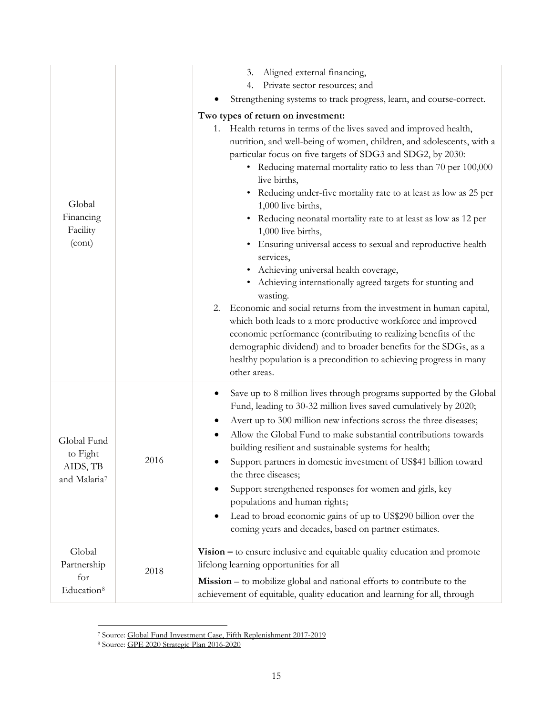| Global<br>Financing<br>Facility<br>(cont)                       |      | Aligned external financing,<br>3.<br>Private sector resources; and<br>4.<br>Strengthening systems to track progress, learn, and course-correct.<br>Two types of return on investment:<br>1. Health returns in terms of the lives saved and improved health,<br>nutrition, and well-being of women, children, and adolescents, with a<br>particular focus on five targets of SDG3 and SDG2, by 2030:<br>• Reducing maternal mortality ratio to less than 70 per 100,000<br>live births,<br>• Reducing under-five mortality rate to at least as low as 25 per<br>1,000 live births,<br>Reducing neonatal mortality rate to at least as low as 12 per<br>1,000 live births,<br>Ensuring universal access to sexual and reproductive health<br>$\bullet$<br>services,<br>Achieving universal health coverage,<br>Achieving internationally agreed targets for stunting and<br>wasting.<br>Economic and social returns from the investment in human capital,<br>2.<br>which both leads to a more productive workforce and improved<br>economic performance (contributing to realizing benefits of the<br>demographic dividend) and to broader benefits for the SDGs, as a |
|-----------------------------------------------------------------|------|----------------------------------------------------------------------------------------------------------------------------------------------------------------------------------------------------------------------------------------------------------------------------------------------------------------------------------------------------------------------------------------------------------------------------------------------------------------------------------------------------------------------------------------------------------------------------------------------------------------------------------------------------------------------------------------------------------------------------------------------------------------------------------------------------------------------------------------------------------------------------------------------------------------------------------------------------------------------------------------------------------------------------------------------------------------------------------------------------------------------------------------------------------------------|
| Global Fund<br>to Fight<br>AIDS, TB<br>and Malaria <sup>7</sup> | 2016 | healthy population is a precondition to achieving progress in many<br>other areas.<br>Save up to 8 million lives through programs supported by the Global<br>Fund, leading to 30-32 million lives saved cumulatively by 2020;<br>Avert up to 300 million new infections across the three diseases;<br>Allow the Global Fund to make substantial contributions towards<br>٠<br>building resilient and sustainable systems for health;<br>Support partners in domestic investment of US\$41 billion toward<br>the three diseases;<br>Support strengthened responses for women and girls, key<br>٠<br>populations and human rights;<br>Lead to broad economic gains of up to US\$290 billion over the<br>٠<br>coming years and decades, based on partner estimates.                                                                                                                                                                                                                                                                                                                                                                                                     |
| Global<br>Partnership<br>for<br>Education <sup>8</sup>          | 2018 | $Vision – to ensure inclusive and equitable quality education and promote$<br>lifelong learning opportunities for all<br>Mission – to mobilize global and national efforts to contribute to the<br>achievement of equitable, quality education and learning for all, through                                                                                                                                                                                                                                                                                                                                                                                                                                                                                                                                                                                                                                                                                                                                                                                                                                                                                         |

 <sup>7</sup> Source: [Global Fund Investment Case, Fifth Replenishment 2017-2019](https://www.theglobalfund.org/media/1130/publication_investmentcase_summary_en.pdf?u=636486807190000000)

<span id="page-14-1"></span><span id="page-14-0"></span><sup>&</sup>lt;sup>8</sup> Source: GPE 2020 Strategic Plan 2016-2020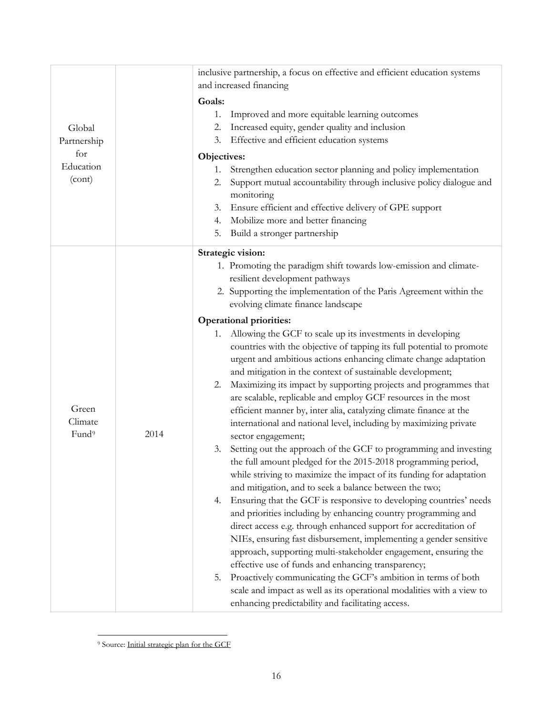|                   |      | inclusive partnership, a focus on effective and efficient education systems |
|-------------------|------|-----------------------------------------------------------------------------|
|                   |      | and increased financing                                                     |
|                   |      | Goals:                                                                      |
|                   |      | Improved and more equitable learning outcomes<br>1.                         |
| Global            |      | Increased equity, gender quality and inclusion<br>2.                        |
| Partnership       |      | Effective and efficient education systems<br>3.                             |
| for               |      | Objectives:                                                                 |
| Education         |      | Strengthen education sector planning and policy implementation<br>1.        |
| (cont)            |      | Support mutual accountability through inclusive policy dialogue and<br>2.   |
|                   |      | monitoring                                                                  |
|                   |      | Ensure efficient and effective delivery of GPE support<br>3.                |
|                   |      | Mobilize more and better financing<br>4.                                    |
|                   |      | Build a stronger partnership<br>5.                                          |
|                   |      | Strategic vision:                                                           |
|                   |      | 1. Promoting the paradigm shift towards low-emission and climate-           |
|                   |      | resilient development pathways                                              |
|                   |      | 2. Supporting the implementation of the Paris Agreement within the          |
|                   |      | evolving climate finance landscape                                          |
|                   |      | <b>Operational priorities:</b>                                              |
|                   |      | 1. Allowing the GCF to scale up its investments in developing               |
|                   |      | countries with the objective of tapping its full potential to promote       |
|                   |      | urgent and ambitious actions enhancing climate change adaptation            |
|                   |      | and mitigation in the context of sustainable development;                   |
|                   |      | Maximizing its impact by supporting projects and programmes that<br>2.      |
|                   |      | are scalable, replicable and employ GCF resources in the most               |
| Green             |      | efficient manner by, inter alia, catalyzing climate finance at the          |
| Climate           |      | international and national level, including by maximizing private           |
| Fund <sup>9</sup> | 2014 | sector engagement;                                                          |
|                   |      | Setting out the approach of the GCF to programming and investing<br>3.      |
|                   |      | the full amount pledged for the 2015-2018 programming period,               |
|                   |      | while striving to maximize the impact of its funding for adaptation         |
|                   |      | and mitigation, and to seek a balance between the two;                      |
|                   |      | Ensuring that the GCF is responsive to developing countries' needs<br>4.    |
|                   |      | and priorities including by enhancing country programming and               |
|                   |      | direct access e.g. through enhanced support for accreditation of            |
|                   |      | NIEs, ensuring fast disbursement, implementing a gender sensitive           |
|                   |      | approach, supporting multi-stakeholder engagement, ensuring the             |
|                   |      | effective use of funds and enhancing transparency;                          |
|                   |      | Proactively communicating the GCF's ambition in terms of both<br>5.         |
|                   |      | scale and impact as well as its operational modalities with a view to       |
|                   |      | enhancing predictability and facilitating access.                           |
|                   |      |                                                                             |

<span id="page-15-0"></span> <sup>9</sup> Source: [Initial strategic plan for the GCF](https://www.greenclimate.fund/documents/20182/761223/Initial_Strategic_Plan_for_the_GCF.pdf/bb18820e-abf0-426f-9d8b-27f5bc6fafeb)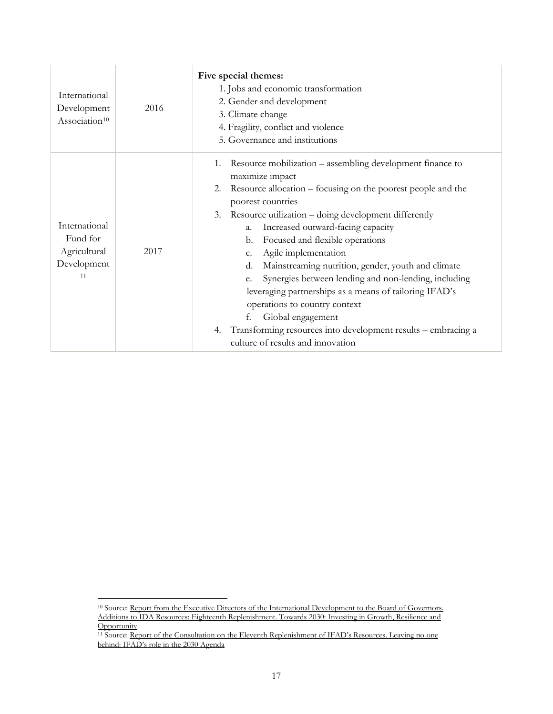| International<br>Development<br>Association <sup>10</sup>      | 2016 | Five special themes:<br>1. Jobs and economic transformation<br>2. Gender and development<br>3. Climate change<br>4. Fragility, conflict and violence<br>5. Governance and institutions                                                                                                                                                                                                                                                                                                                                                                                                                                                                                                                                    |
|----------------------------------------------------------------|------|---------------------------------------------------------------------------------------------------------------------------------------------------------------------------------------------------------------------------------------------------------------------------------------------------------------------------------------------------------------------------------------------------------------------------------------------------------------------------------------------------------------------------------------------------------------------------------------------------------------------------------------------------------------------------------------------------------------------------|
| International<br>Fund for<br>Agricultural<br>Development<br>11 | 2017 | Resource mobilization – assembling development finance to<br>1.<br>maximize impact<br>Resource allocation – focusing on the poorest people and the<br>2.<br>poorest countries<br>Resource utilization - doing development differently<br>3.<br>Increased outward-facing capacity<br>a.<br>Focused and flexible operations<br>b.<br>Agile implementation<br>c.<br>Mainstreaming nutrition, gender, youth and climate<br>d.<br>Synergies between lending and non-lending, including<br>e.<br>leveraging partnerships as a means of tailoring IFAD's<br>operations to country context<br>Global engagement<br>f.<br>Transforming resources into development results - embracing a<br>4.<br>culture of results and innovation |

<span id="page-16-0"></span><sup>10</sup> Source: Report from the Executive Directors of the International Development to the Board of Governors. [Additions to IDA Resources: Eighteenth Replenishment. Towards 2030: Investing in Growth, Resilience](http://documents.worldbank.org/curated/en/348661486654455091/pdf/112728-correct-file-PUBLIC-Rpt-from-EDs-Additions-to-IDA-Resources-2-9-17-For-Disclosure.pdf) and **[Opportunity](http://documents.worldbank.org/curated/en/348661486654455091/pdf/112728-correct-file-PUBLIC-Rpt-from-EDs-Additions-to-IDA-Resources-2-9-17-For-Disclosure.pdf)** 

<span id="page-16-1"></span><sup>&</sup>lt;sup>11</sup> Source: Report of the Consultation on the Eleventh Replenishment of IFAD's Resources. Leaving no one [behind: IFAD's role in the 2030 Agenda](https://webapps.ifad.org/members/repl/11/04/docs/IFAD11-4-R-2-Rev-1.pdf)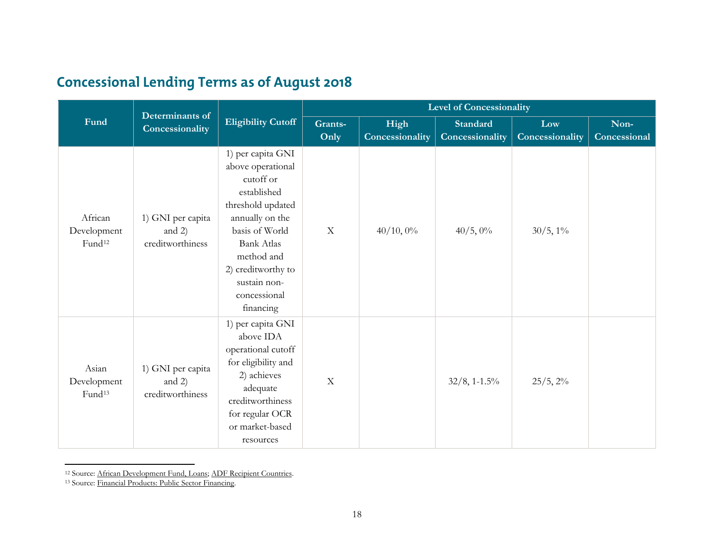# <span id="page-17-1"></span><span id="page-17-0"></span>**Concessional Lending Terms as of August 2018**

|                                              | Determinants of                                   |                                                                                                                                                                                                                                    | <b>Level of Concessionality</b> |                         |                                    |                        |                      |  |
|----------------------------------------------|---------------------------------------------------|------------------------------------------------------------------------------------------------------------------------------------------------------------------------------------------------------------------------------------|---------------------------------|-------------------------|------------------------------------|------------------------|----------------------|--|
| Fund                                         | Concessionality                                   | <b>Eligibility Cutoff</b>                                                                                                                                                                                                          | Grants-<br>Only                 | High<br>Concessionality | <b>Standard</b><br>Concessionality | Low<br>Concessionality | Non-<br>Concessional |  |
| African<br>Development<br>Fund <sup>12</sup> | 1) GNI per capita<br>and $2)$<br>creditworthiness | 1) per capita GNI<br>above operational<br>cutoff or<br>established<br>threshold updated<br>annually on the<br>basis of World<br><b>Bank Atlas</b><br>method and<br>2) creditworthy to<br>sustain non-<br>concessional<br>financing | $\mathbf X$                     | 40/10,0%                | 40/5,0%                            | $30/5, 1\%$            |                      |  |
| Asian<br>Development<br>Fund <sup>13</sup>   | 1) GNI per capita<br>and $2)$<br>creditworthiness | 1) per capita GNI<br>above IDA<br>operational cutoff<br>for eligibility and<br>2) achieves<br>adequate<br>creditworthiness<br>for regular OCR<br>or market-based<br>resources                                                      | $\boldsymbol{\mathrm{X}}$       |                         | $32/8$ , 1-1.5%                    | $25/5, 2\%$            |                      |  |

<sup>12</sup> Source: [African Development Fund, Loans;](https://www.afdb.org/en/projects-and-operations/financial-products/african-development-fund/loans/) [ADF Recipient Countries.](https://www.afdb.org/en/about-us/corporate-information/african-development-fund-adf/adf-recipient-countries/)

<sup>13</sup> Source: [Financial Products: Public Sector Financing.](https://www.adb.org/site/public-sector-financing/financial-products)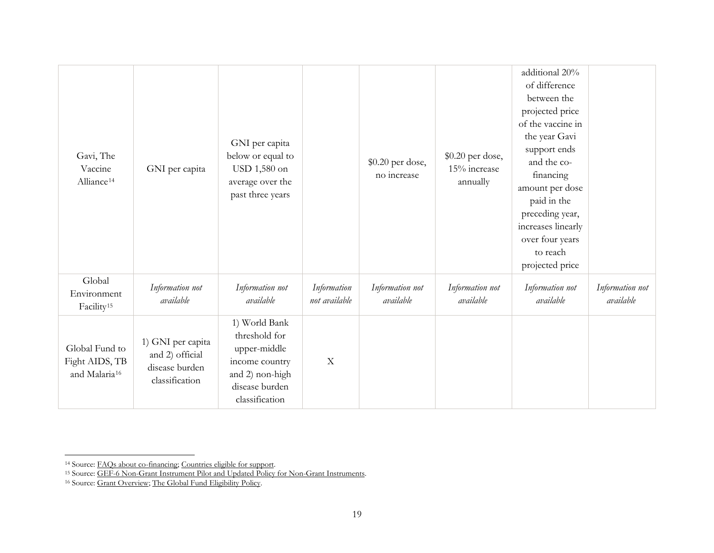<span id="page-18-2"></span><span id="page-18-1"></span><span id="page-18-0"></span>

| Gavi, The<br>Vaccine<br>Alliance <sup>14</sup>                | GNI per capita                                                           | GNI per capita<br>below or equal to<br>USD 1,580 on<br>average over the<br>past three years                             |                              | \$0.20 per dose,<br>no increase | \$0.20 per dose,<br>15% increase<br>annually | additional 20%<br>of difference<br>between the<br>projected price<br>of the vaccine in<br>the year Gavi<br>support ends<br>and the co-<br>financing<br>amount per dose<br>paid in the<br>preceding year,<br>increases linearly<br>over four years<br>to reach<br>projected price |                              |
|---------------------------------------------------------------|--------------------------------------------------------------------------|-------------------------------------------------------------------------------------------------------------------------|------------------------------|---------------------------------|----------------------------------------------|----------------------------------------------------------------------------------------------------------------------------------------------------------------------------------------------------------------------------------------------------------------------------------|------------------------------|
| Global<br>Environment<br>Facility <sup>15</sup>               | Information not<br>available                                             | Information not<br>available                                                                                            | Information<br>not available | Information not<br>available    | Information not<br>available                 | Information not<br>available                                                                                                                                                                                                                                                     | Information not<br>available |
| Global Fund to<br>Fight AIDS, TB<br>and Malaria <sup>16</sup> | 1) GNI per capita<br>and 2) official<br>disease burden<br>classification | 1) World Bank<br>threshold for<br>upper-middle<br>income country<br>and 2) non-high<br>disease burden<br>classification | $\mathbf X$                  |                                 |                                              |                                                                                                                                                                                                                                                                                  |                              |

<sup>&</sup>lt;u>.</u><br>14 Source: <u>FAQs about co-financing; Countries eligible for support</u>.<br><sup>15</sup> Source: <u>GEF-6 Non-Grant Instrument Pilot and Updated Policy for Non-Grant Instruments</u>.

<sup>&</sup>lt;sup>16</sup> Source: [Grant Overview;](https://www.theglobalfund.org/en/portfolio/) The Global Fund Eligibility Policy.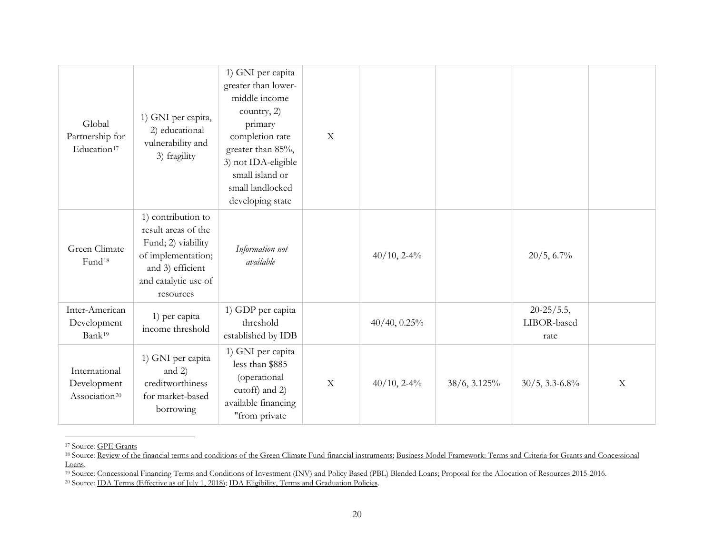<span id="page-19-3"></span><span id="page-19-2"></span><span id="page-19-1"></span><span id="page-19-0"></span>

| Global<br>Partnership for<br>Education <sup>17</sup>      | 1) GNI per capita,<br>2) educational<br>vulnerability and<br>3) fragility                                                                      | 1) GNI per capita<br>greater than lower-<br>middle income<br>country, 2)<br>primary<br>completion rate<br>greater than 85%,<br>3) not IDA-eligible<br>small island or<br>small landlocked<br>developing state | $\mathbf X$ |                |                   |                                          |                           |
|-----------------------------------------------------------|------------------------------------------------------------------------------------------------------------------------------------------------|---------------------------------------------------------------------------------------------------------------------------------------------------------------------------------------------------------------|-------------|----------------|-------------------|------------------------------------------|---------------------------|
| Green Climate<br>Fund <sup>18</sup>                       | 1) contribution to<br>result areas of the<br>Fund; 2) viability<br>of implementation;<br>and 3) efficient<br>and catalytic use of<br>resources | Information not<br>available                                                                                                                                                                                  |             | $40/10$ , 2-4% |                   | 20/5, 6.7%                               |                           |
| Inter-American<br>Development<br>Bank <sup>19</sup>       | 1) per capita<br>income threshold                                                                                                              | 1) GDP per capita<br>threshold<br>established by IDB                                                                                                                                                          |             | 40/40, 0.25%   |                   | $20 - 25 / 5.5$ ,<br>LIBOR-based<br>rate |                           |
| International<br>Development<br>Association <sup>20</sup> | 1) GNI per capita<br>and 2)<br>creditworthiness<br>for market-based<br>borrowing                                                               | 1) GNI per capita<br>less than \$885<br>(operational<br>cutoff) and 2)<br>available financing<br>"from private                                                                                                | $\mathbf X$ | $40/10$ , 2-4% | $38/6$ , $3.125%$ | $30/5, 3.3 - 6.8\%$                      | $\boldsymbol{\mathrm{X}}$ |

 <sup>17</sup> Source: [GPE Grants](https://www.globalpartnership.org/funding/gpe-grants)

<sup>19</sup> Source: [Concessional Financing Terms and Conditions of Investment \(INV\) and Policy Based \(PBL\) Blended Loans;](http://idbdocs.iadb.org/wsdocs/getdocument.aspx?docnum=35770512) Proposal for the Allocation of Resources 2015-2016.<br><sup>20</sup> Source: <u>IDA Terms (Effective as of July 1, 2018)</u>

<sup>&</sup>lt;sup>18</sup> Source: [Review of the financial terms and conditions of the Green Climate Fund financial instruments;](https://www.greenclimate.fund/documents/20182/1087995/GCF_B.20_Inf.12_-_Review_of_the_financial_terms_and_conditions_of_the_Green_Climate_Fund_financial_instruments.pdf/c06d91ab-5246-d290-af9d-f13de74bc640) Business Model Framework: Terms and Criteria for Grants and Concessional [Loans.](https://www.greenclimate.fund/documents/20182/24937/GCF_B.05_07_-_Business_Model_Framework__Terms_and_Criteria_for_Grants_and_Concessional_Loans.pdf/da1a623d-059b-49b5-ae91-60f451930897)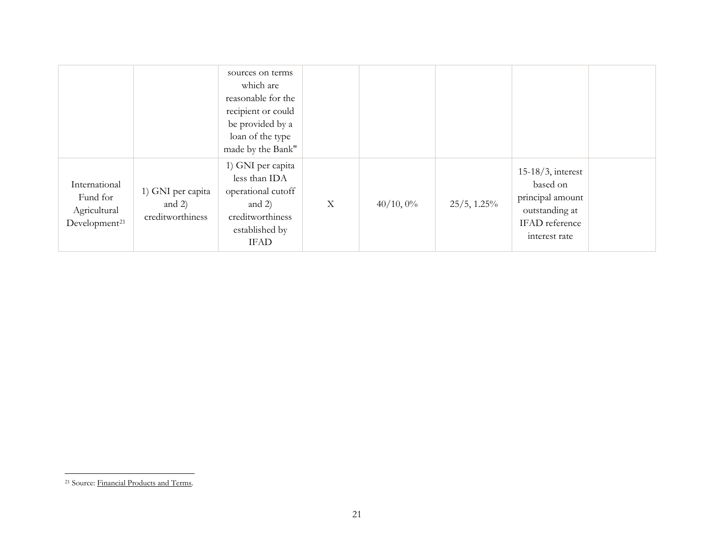<span id="page-20-0"></span>

|                                                                        |                                                   | sources on terms<br>which are<br>reasonable for the<br>recipient or could<br>be provided by a<br>loan of the type<br>made by the Bank" |                           |              |                |                                                                                                           |  |
|------------------------------------------------------------------------|---------------------------------------------------|----------------------------------------------------------------------------------------------------------------------------------------|---------------------------|--------------|----------------|-----------------------------------------------------------------------------------------------------------|--|
| International<br>Fund for<br>Agricultural<br>Development <sup>21</sup> | 1) GNI per capita<br>and $2)$<br>creditworthiness | 1) GNI per capita<br>less than IDA<br>operational cutoff<br>and $2)$<br>creditworthiness<br>established by<br><b>IFAD</b>              | $\boldsymbol{\mathrm{X}}$ | $40/10, 0\%$ | $25/5$ , 1.25% | $15-18/3$ , interest<br>based on<br>principal amount<br>outstanding at<br>IFAD reference<br>interest rate |  |

 <sup>21</sup> Source: [Financial Products and Terms.](https://www.ifad.org/web/guest/financial-products-and-terms)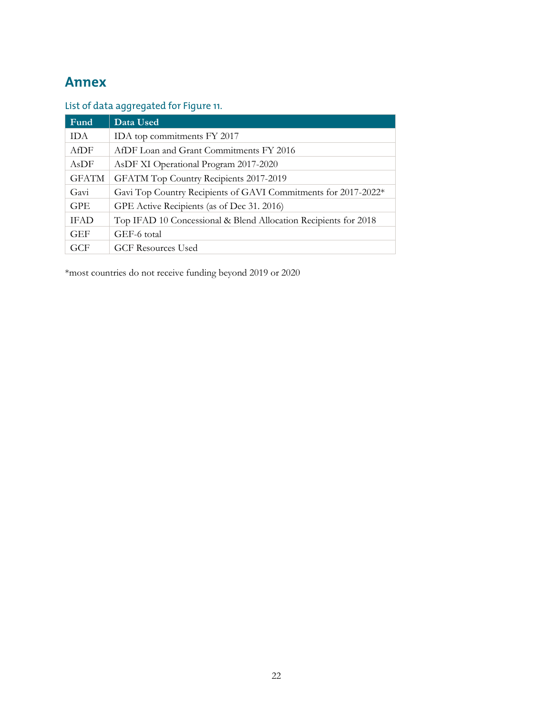# **Annex**

## List of data aggregated for Figure 11.

| Fund         | Data Used                                                       |
|--------------|-----------------------------------------------------------------|
| <b>IDA</b>   | IDA top commitments FY 2017                                     |
| AfDF         | AfDF Loan and Grant Commitments FY 2016                         |
| AsDF         | AsDF XI Operational Program 2017-2020                           |
| <b>GFATM</b> | GFATM Top Country Recipients 2017-2019                          |
| Gavi         | Gavi Top Country Recipients of GAVI Commitments for 2017-2022*  |
| <b>GPE</b>   | GPE Active Recipients (as of Dec 31. 2016)                      |
| <b>IFAD</b>  | Top IFAD 10 Concessional & Blend Allocation Recipients for 2018 |
| <b>GEF</b>   | GEF-6 total                                                     |
| GCF          | <b>GCF Resources Used</b>                                       |

\*most countries do not receive funding beyond 2019 or 2020